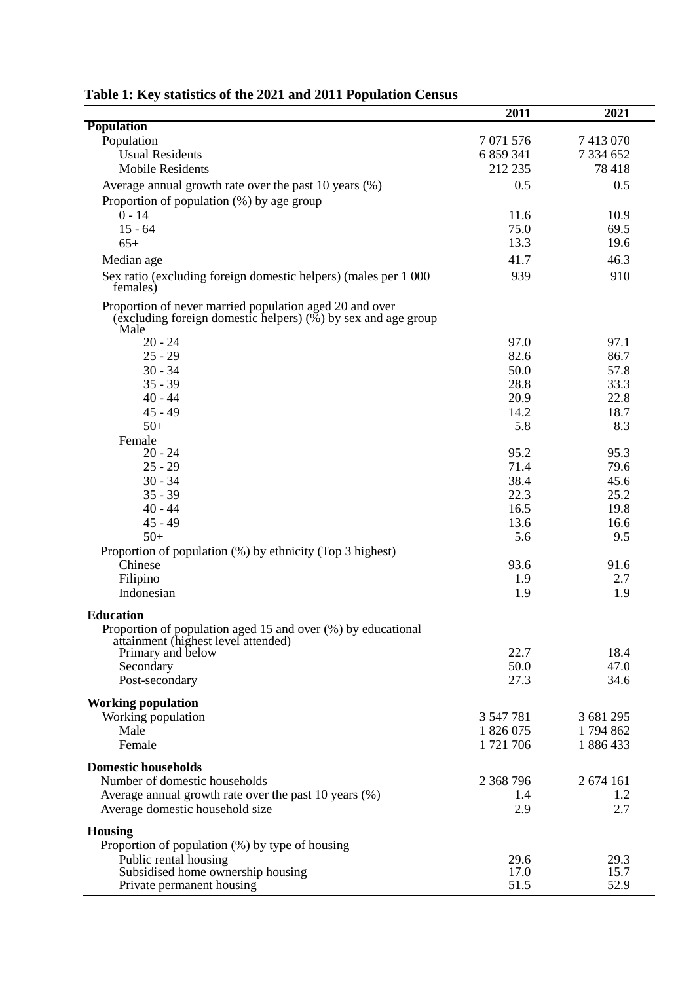|                                                                                                                                     | 2011         | 2021         |
|-------------------------------------------------------------------------------------------------------------------------------------|--------------|--------------|
| <b>Population</b>                                                                                                                   |              |              |
| Population                                                                                                                          | 7 071 576    | 7 413 070    |
| <b>Usual Residents</b>                                                                                                              | 6 859 341    | 7 334 652    |
| <b>Mobile Residents</b>                                                                                                             | 212 235      | 78 418       |
| Average annual growth rate over the past 10 years (%)                                                                               | 0.5          | 0.5          |
| Proportion of population (%) by age group                                                                                           |              |              |
| $0 - 14$                                                                                                                            | 11.6         | 10.9         |
| $15 - 64$                                                                                                                           | 75.0         | 69.5         |
| $65+$                                                                                                                               | 13.3         | 19.6         |
| Median age                                                                                                                          | 41.7         | 46.3         |
| Sex ratio (excluding foreign domestic helpers) (males per 1 000<br>females)                                                         | 939          | 910          |
| Proportion of never married population aged 20 and over<br>(excluding foreign domestic helpers) $(\%)$ by sex and age group<br>Male |              |              |
| $20 - 24$                                                                                                                           | 97.0         | 97.1         |
| $25 - 29$                                                                                                                           | 82.6         | 86.7         |
| $30 - 34$                                                                                                                           | 50.0         | 57.8         |
| $35 - 39$                                                                                                                           | 28.8         | 33.3         |
| $40 - 44$                                                                                                                           | 20.9         | 22.8         |
| $45 - 49$                                                                                                                           | 14.2         | 18.7         |
| $50+$<br>Female                                                                                                                     | 5.8          | 8.3          |
| $20 - 24$                                                                                                                           | 95.2         | 95.3         |
| $25 - 29$                                                                                                                           | 71.4         | 79.6         |
| $30 - 34$                                                                                                                           | 38.4         | 45.6         |
| $35 - 39$                                                                                                                           | 22.3         | 25.2         |
| $40 - 44$                                                                                                                           | 16.5         | 19.8         |
| $45 - 49$                                                                                                                           | 13.6         | 16.6         |
| $50+$                                                                                                                               | 5.6          | 9.5          |
| Proportion of population (%) by ethnicity (Top 3 highest)                                                                           |              |              |
| Chinese                                                                                                                             | 93.6         | 91.6         |
| Filipino                                                                                                                            | 1.9          | 2.7          |
| Indonesian                                                                                                                          | 1.9          | 1.9          |
| <b>Education</b><br>Proportion of population aged 15 and over (%) by educational<br>attainment (highest level attended)             |              |              |
| Primary and below                                                                                                                   | 22.7         | 18.4         |
| Secondary                                                                                                                           | 50.0         | 47.0         |
| Post-secondary                                                                                                                      | 27.3         | 34.6         |
| <b>Working population</b>                                                                                                           |              |              |
| Working population                                                                                                                  | 3 547 781    | 3 681 295    |
| Male                                                                                                                                | 1 826 075    | 1794862      |
| Female                                                                                                                              | 1721706      | 1886433      |
| <b>Domestic households</b>                                                                                                          |              |              |
| Number of domestic households                                                                                                       | 2 368 796    | 2 674 161    |
| Average annual growth rate over the past 10 years (%)                                                                               | 1.4          | 1.2          |
| Average domestic household size                                                                                                     | 2.9          | 2.7          |
| <b>Housing</b>                                                                                                                      |              |              |
| Proportion of population (%) by type of housing                                                                                     |              |              |
| Public rental housing<br>Subsidised home ownership housing                                                                          | 29.6<br>17.0 | 29.3<br>15.7 |
| Private permanent housing                                                                                                           | 51.5         | 52.9         |

| Table 1: Key statistics of the 2021 and 2011 Population Census |  |  |
|----------------------------------------------------------------|--|--|
|----------------------------------------------------------------|--|--|